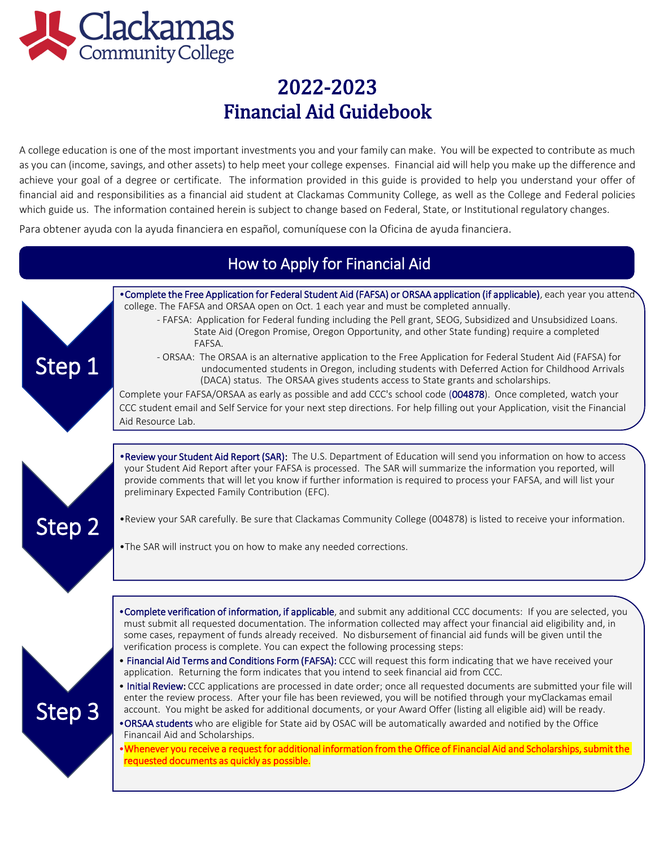

A college education is one of the most important investments you and your family can make. You will be expected to contribute as much as you can (income, savings, and other assets) to help meet your college expenses. Financial aid will help you make up the difference and achieve your goal of a degree or certificate. The information provided in this guide is provided to help you understand your offer of financial aid and responsibilities as a financial aid student at Clackamas Community College, as well as the College and Federal policies which guide us. The information contained herein is subject to change based on Federal, State, or Institutional regulatory changes.

Para obtener ayuda con la ayuda financiera en español, comuníquese con la Oficina de ayuda financiera.

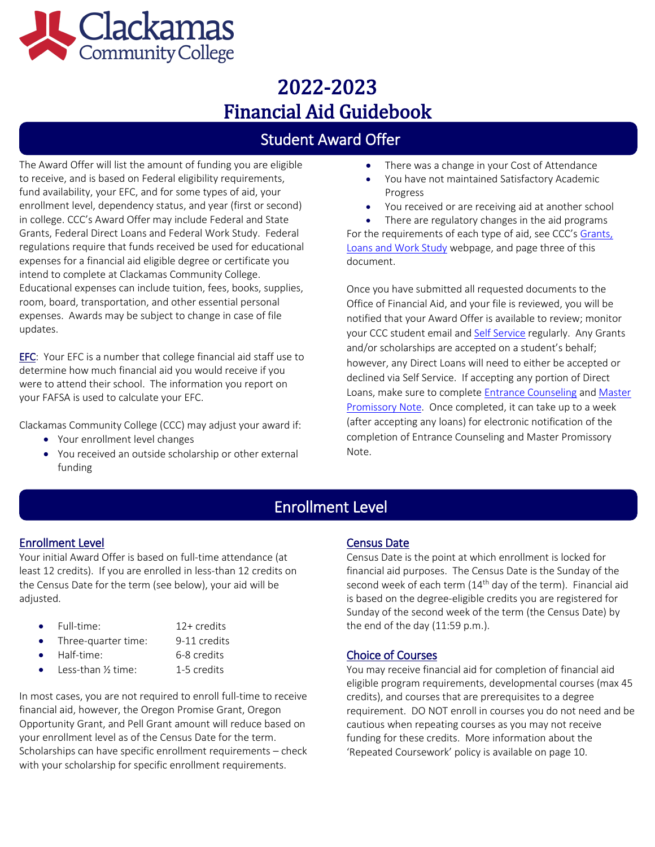

## Student Award Offer

The Award Offer will list the amount of funding you are eligible to receive, and is based on Federal eligibility requirements, fund availability, your EFC, and for some types of aid, your enrollment level, dependency status, and year (first or second) in college. CCC's Award Offer may include Federal and State Grants, Federal Direct Loans and Federal Work Study. Federal regulations require that funds received be used for educational expenses for a financial aid eligible degree or certificate you intend to complete at Clackamas Community College. Educational expenses can include tuition, fees, books, supplies, room, board, transportation, and other essential personal expenses. Awards may be subject to change in case of file updates.

EFC: Your EFC is a number that college financial aid staff use to determine how much financial aid you would receive if you were to attend their school. The information you report on your FAFSA is used to calculate your EFC.

Clackamas Community College (CCC) may adjust your award if:

- Your enrollment level changes
- You received an outside scholarship or other external funding
- There was a change in your Cost of Attendance
- You have not maintained Satisfactory Academic Progress
- You received or are receiving aid at another school
- There are regulatory changes in the aid programs

For the requirements of each type of aid, see CCC's Grants, [Loans and Work Study](https://www.clackamas.edu/admissions-financial-aid/financial-aid-scholarships/grants-loans-and-work-study-financial-aid-options) webpage, and page three of this document.

Once you have submitted all requested documents to the Office of Financial Aid, and your file is reviewed, you will be notified that your Award Offer is available to review; monitor your CCC student email and **Self Service regularly**. Any Grants and/or scholarships are accepted on a student's behalf; however, any Direct Loans will need to either be accepted or declined via Self Service. If accepting any portion of Direct Loans, make sure to complete [Entrance Counseling](https://studentaid.gov/app/counselingInstructions.action?counselingType=entrance) and [Master](https://studentaid.gov/mpn/)  [Promissory Note.](https://studentaid.gov/mpn/) Once completed, it can take up to a week (after accepting any loans) for electronic notification of the completion of Entrance Counseling and Master Promissory Note.

## Enrollment Level

### Enrollment Level

l<br>L

Your initial Award Offer is based on full-time attendance (at least 12 credits). If you are enrolled in less-than 12 credits on the Census Date for the term (see below), your aid will be adjusted.

- Full-time: 12+ credits
	-
- Three-quarter time: 9-11 credits
- Half-time: 6-8 credits
	- Less-than 1/2 time: 1-5 credits

In most cases, you are not required to enroll full-time to receive financial aid, however, the Oregon Promise Grant, Oregon Opportunity Grant, and Pell Grant amount will reduce based on your enrollment level as of the Census Date for the term. Scholarships can have specific enrollment requirements – check with your scholarship for specific enrollment requirements.

### Census Date

Census Date is the point at which enrollment is locked for financial aid purposes. The Census Date is the Sunday of the second week of each term  $(14<sup>th</sup>$  day of the term). Financial aid is based on the degree-eligible credits you are registered for Sunday of the second week of the term (the Census Date) by the end of the day (11:59 p.m.).

### Choice of Courses

You may receive financial aid for completion of financial aid eligible program requirements, developmental courses (max 45 credits), and courses that are prerequisites to a degree requirement. DO NOT enroll in courses you do not need and be cautious when repeating courses as you may not receive funding for these credits. More information about the 'Repeated Coursework' policy is available on page 10.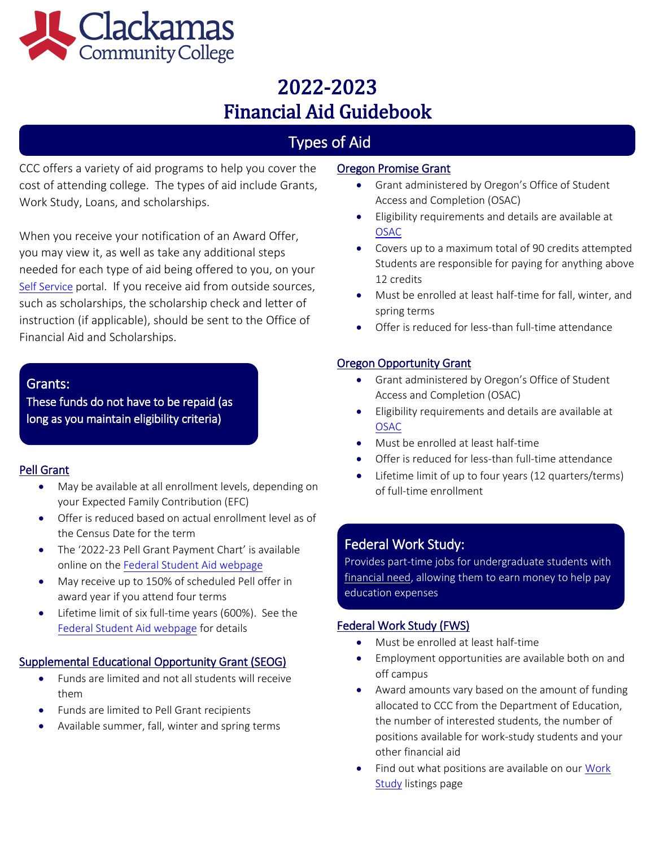

# Types of Aid

CCC offers a variety of aid programs to help you cover the cost of attending college. The types of aid include Grants, Work Study, Loans, and scholarships.

When you receive your notification of an Award Offer, you may view it, as well as take any additional steps needed for each type of aid being offered to you, on your [Self Service](https://selfservice.clackamas.edu/Student/?hideProxyDialog=false) portal. If you receive aid from outside sources, such as scholarships, the scholarship check and letter of instruction (if applicable), should be sent to the Office of Financial Aid and Scholarships.

### Grants:

These funds do not have to be repaid (as long as you maintain eligibility criteria)

### Pell Grant

- May be available at all enrollment levels, depending on your Expected Family Contribution (EFC)
- Offer is reduced based on actual enrollment level as of the Census Date for the term
- The '2022-23 Pell Grant Payment Chart' is available online on the [Federal Student Aid webpage](https://studentaid.gov/understand-aid/types/grants/pell)
- May receive up to 150% of scheduled Pell offer in award year if you attend four terms
- Lifetime limit of six full-time years (600%). See the [Federal Student Aid webpage](https://studentaid.gov/understand-aid/types/grants/pell) for details

### Supplemental Educational Opportunity Grant (SEOG)

- Funds are limited and not all students will receive them
- Funds are limited to Pell Grant recipients
- Available summer, fall, winter and spring terms

### Oregon Promise Grant

- Grant administered by Oregon's Office of Student Access and Completion (OSAC)
- Eligibility requirements and details are available at [OSAC](https://oregonstudentaid.gov/oregon-promise.aspx)
- Covers up to a maximum total of 90 credits attempted Students are responsible for paying for anything above 12 credits
- Must be enrolled at least half-time for fall, winter, and spring terms
- Offer is reduced for less-than full-time attendance

### Oregon Opportunity Grant

- Grant administered by Oregon's Office of Student Access and Completion (OSAC)
- Eligibility requirements and details are available at [OSAC](https://oregonstudentaid.gov/oregon-opportunity-grant.aspx)
- Must be enrolled at least half-time
- Offer is reduced for less-than full‐time attendance
- Lifetime limit of up to four years (12 quarters/terms) of full-time enrollment

## Federal Work Study:

Provides part-time jobs for undergraduate students with [financial need,](javascript:void(0)) allowing them to earn money to help pay education expenses

### Federal Work Study (FWS)

- Must be enrolled at least half-time
- Employment opportunities are available both on and off campus
- Award amounts vary based on the amount of funding allocated to CCC from the Department of Education, the number of interested students, the number of positions available for work-study students and your other financial aid
- Find out what positions are available on our [Work](https://www.governmentjobs.com/careers/clackamascc/transferjobs) **[Study](https://www.governmentjobs.com/careers/clackamascc/transferjobs)** listings page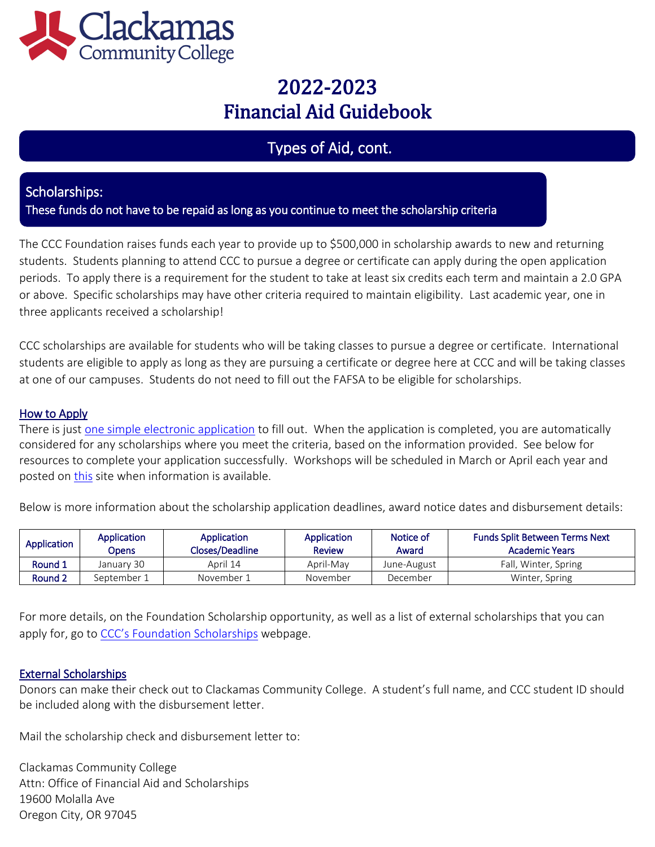

## Types of Aid, cont.

### Scholarships:

These funds do not have to be repaid as long as you continue to meet the scholarship criteria

The CCC Foundation raises funds each year to provide up to \$500,000 in scholarship awards to new and returning students. Students planning to attend CCC to pursue a degree or certificate can apply during the open application periods. To apply there is a requirement for the student to take at least six credits each term and maintain a 2.0 GPA or above. Specific scholarships may have other criteria required to maintain eligibility. Last academic year, one in three applicants received a scholarship!

CCC scholarships are available for students who will be taking classes to pursue a degree or certificate. International students are eligible to apply as long as they are pursuing a certificate or degree here at CCC and will be taking classes at one of our campuses. Students do not need to fill out the FAFSA to be eligible for scholarships.

### How to Apply

There is just [one simple electronic application](https://clackamas.academicworks.com/users/sign_in) to fill out. When the application is completed, you are automatically considered for any scholarships where you meet the criteria, based on the information provided. See below for resources to complete your application successfully. Workshops will be scheduled in March or April each year and posted on [this](https://www.clackamas.edu/admissions-financial-aid/financial-aid-scholarships/scholarships) site when information is available.

Below is more information about the scholarship application deadlines, award notice dates and disbursement details:

| Application        | Application<br>Opens | Application<br>Closes/Deadline | <b>Application</b><br><b>Review</b> | Notice of<br>Award | <b>Funds Split Between Terms Next</b><br>Academic Years |
|--------------------|----------------------|--------------------------------|-------------------------------------|--------------------|---------------------------------------------------------|
| Round 1            | January 30           | April 14                       | April-May                           | June-August        | Fall, Winter, Spring                                    |
| Round <sub>2</sub> | September 1          | November 1                     | November                            | December           | Winter, Spring                                          |

For more details, on the Foundation Scholarship opportunity, as well as a list of external scholarships that you can apply for, go to [CCC's Foundation Schol](https://www.clackamas.edu/admissions-financial-aid/financial-aid-scholarships/scholarships)arships webpage.

### External Scholarships

Donors can make their check out to Clackamas Community College. A student's full name, and CCC student ID should be included along with the disbursement letter.

Mail the scholarship check and disbursement letter to:

Clackamas Community College Attn: Office of Financial Aid and Scholarships 19600 Molalla Ave Oregon City, OR 97045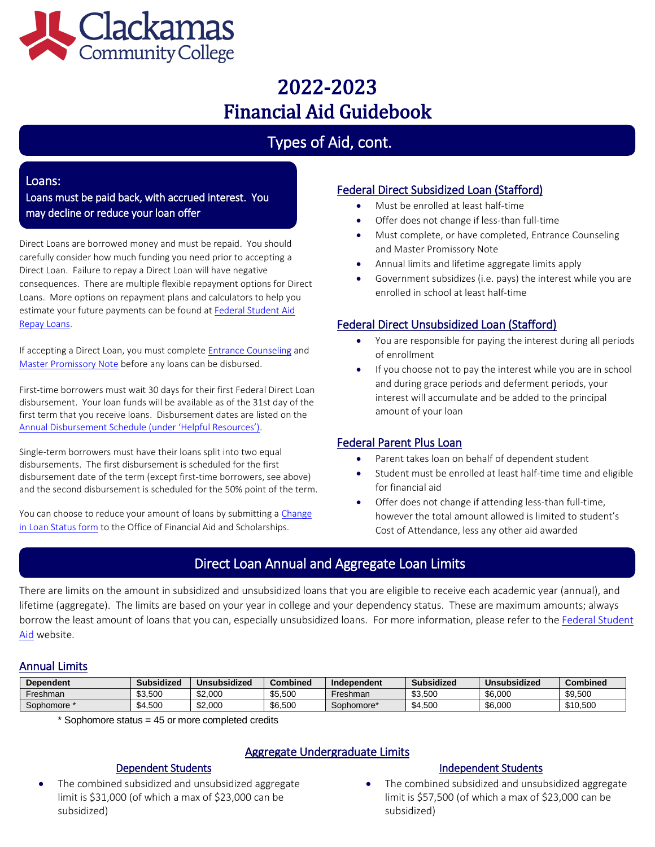

# Types of Aid, cont.

#### Loans:

Loans must be paid back, with accrued interest. You may decline or reduce your loan offer

Direct Loans are borrowed money and must be repaid. You should carefully consider how much funding you need prior to accepting a Direct Loan. Failure to repay a Direct Loan will have negative consequences. There are multiple flexible repayment options for Direct Loans. More options on repayment plans and calculators to help you estimate your future payments can be found a[t Federal Student Aid](https://studentaid.gov/h/manage-loans)  [Repay Loans.](https://studentaid.gov/h/manage-loans)

If accepting a Direct Loan, you must complet[e Entrance Counseling](https://studentaid.gov/app/counselingInstructions.action?counselingType=entrance) and [Master Promissory Note](https://studentaid.gov/mpn/) before any loans can be disbursed.

First-time borrowers must wait 30 days for their first Federal Direct Loan disbursement. Your loan funds will be available as of the 31st day of the first term that you receive loans. Disbursement dates are listed on the [Annual Disbursement Schedule](https://www.clackamas.edu/admissions-financial-aid/financial-aid-scholarships/financial-aid-forms) (under 'Helpful Resources').

Single-term borrowers must have their loans split into two equal disbursements. The first disbursement is scheduled for the first disbursement date of the term (except first-time borrowers, see above) and the second disbursement is scheduled for the 50% point of the term.

You can choose to reduce your amount of loans by submitting a Change [in Loan Status form](https://www.clackamas.edu/admissions-financial-aid/financial-aid-scholarships/financial-aid-forms) to the Office of Financial Aid and Scholarships.

### Federal Direct Subsidized Loan (Stafford)

- Must be enrolled at least half-time
- Offer does not change if less-than full-time
- Must complete, or have completed, Entrance Counseling and Master Promissory Note
- Annual limits and lifetime aggregate limits apply
- Government subsidizes (i.e. pays) the interest while you are enrolled in school at least half-time

### Federal Direct Unsubsidized Loan (Stafford)

- You are responsible for paying the interest during all periods of enrollment
- If you choose not to pay the interest while you are in school and during grace periods and deferment periods, your interest will accumulate and be added to the principal amount of your loan

### Federal Parent Plus Loan

- Parent takes loan on behalf of dependent student
- Student must be enrolled at least half-time time and eligible for financial aid
- Offer does not change if attending less-than full-time, however the total amount allowed is limited to student's Cost of Attendance, less any other aid awarded

## Direct Loan Annual and Aggregate Loan Limits

There are limits on the amount in subsidized and unsubsidized loans that you are eligible to receive each academic year (annual), and lifetime (aggregate). The limits are based on your year in college and your dependency status. These are maximum amounts; always borrow the least amount of loans that you can, especially unsubsidized loans. For more information, please refer to th[e Federal Student](https://studentaid.ed.gov/sa/types/loans/subsidized-unsubsidized)  [Aid](https://studentaid.ed.gov/sa/types/loans/subsidized-unsubsidized) website.

### Annual Limits

| <b>Dependent</b>                                                                                                                       |  | <b>Subsidized</b> | <b>Unsubsidized</b> | <b>Combined</b> | Independent                                                                                                               | <b>Subsidized</b> | Unsubsidized                | <b>Combined</b> |
|----------------------------------------------------------------------------------------------------------------------------------------|--|-------------------|---------------------|-----------------|---------------------------------------------------------------------------------------------------------------------------|-------------------|-----------------------------|-----------------|
| Freshman                                                                                                                               |  | \$3,500           | \$2,000             | \$5,500         | Freshman                                                                                                                  | \$3,500           | \$6,000                     | \$9,500         |
| Sophomore *                                                                                                                            |  | \$4,500           | \$2,000             | \$6,500         | Sophomore*                                                                                                                | \$4,500           | \$6,000                     | \$10,500        |
| * Sophomore status = 45 or more completed credits<br>Aggregate Undergraduate Limits                                                    |  |                   |                     |                 |                                                                                                                           |                   |                             |                 |
| <b>Dependent Students</b>                                                                                                              |  |                   |                     |                 |                                                                                                                           |                   | <b>Independent Students</b> |                 |
| The combined subsidized and unsubsidized aggregate<br>$\bullet$<br>limit is \$31,000 (of which a max of \$23,000 can be<br>subsidized) |  |                   |                     |                 | The combined subsidized and unsubsidized aggregate<br>limit is \$57,500 (of which a max of \$23,000 can be<br>subsidized) |                   |                             |                 |

### Aggregate Undergraduate Limits

### Dependent Students

#### Independent Students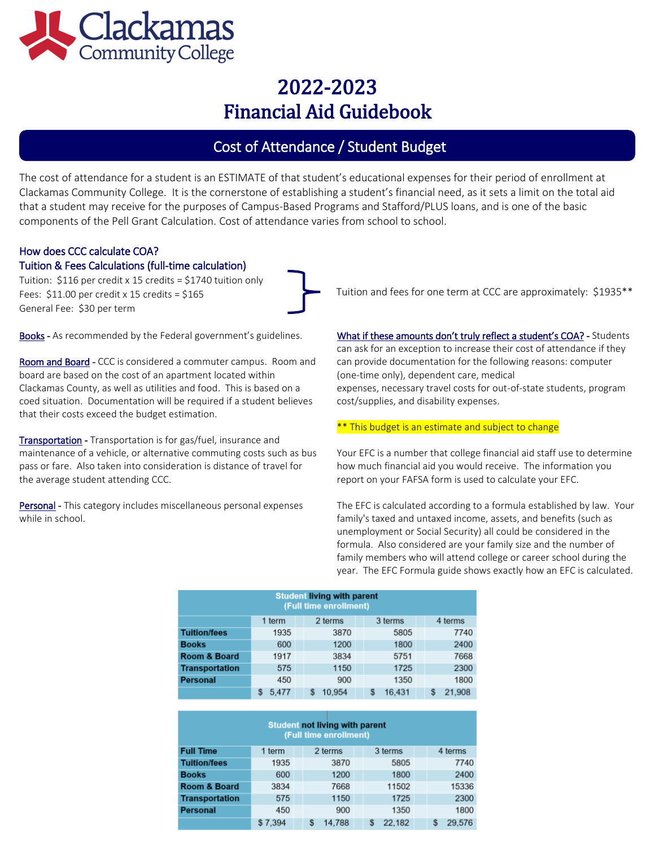

## Cost of Attendance / Student Budget

The cost of attendance for a student is an ESTIMATE of that student's educational expenses for their period of enrollment at Clackamas Community College. It is the cornerstone of establishing a student's financial need, as it sets a limit on the total aid that a student may receive for the purposes of Campus-Based Programs and Stafford/PLUS loans, and is one of the basic components of the Pell Grant Calculation. Cost of attendance varies from school to school.

# How does CCC calculate COA?

### Tuition & Fees Calculations (full-time calculation)

Tuition: \$116 per credit x 15 credits = \$1740 tuition only Fees:  $$11.00$  per credit x 15 credits =  $$165$ General Fee: \$30 per term

Books - As recommended by the Federal government's guidelines.

Room and Board - CCC is considered a commuter campus. Room and board are based on the cost of an apartment located within Clackamas County, as well as utilities and food. This is based on a coed situation. Documentation will be required if a student believes that their costs exceed the budget estimation.

Transportation - Transportation is for gas/fuel, insurance and maintenance of a vehicle, or alternative commuting costs such as bus pass or fare. Also taken into consideration is distance of travel for the average student attending CCC.

Personal - This category includes miscellaneous personal expenses while in school.

Tuition and fees for one term at CCC are approximately: \$1935\*\*

What if these amounts don't truly reflect a student's COA? - Students can ask for an exception to increase their cost of attendance if they can provide documentation for the following reasons: computer (one-time only), dependent care, medical expenses, necessary travel costs for out-of-state students, program cost/supplies, and disability expenses.

#### \*\* This budget is an estimate and subject to change

Your EFC is a number that college financial aid staff use to determine how much financial aid you would receive. The information you report on your FAFSA form is used to calculate your EFC.

The EFC is calculated according to a formula established by law. Your family's taxed and untaxed income, assets, and benefits (such as unemployment or Social Security) all could be considered in the formula. Also considered are your family size and the number of family members who will attend college or career school during the year. The EFC Formula guide shows exactly how an EFC is calculated.

| <b>Student living with parent</b><br>(Full time enrollment) |                                         |        |             |        |  |  |  |
|-------------------------------------------------------------|-----------------------------------------|--------|-------------|--------|--|--|--|
|                                                             | 2 terms<br>3 terms<br>4 terms<br>1 term |        |             |        |  |  |  |
| <b>Tuition/fees</b>                                         | 1935                                    | 3870   | 5805        | 7740   |  |  |  |
| <b>Books</b>                                                | 600                                     | 1200   | 1800        | 2400   |  |  |  |
| Room & Board                                                | 1917                                    | 3834   | 5751        | 7668   |  |  |  |
| <b>Transportation</b>                                       | 575                                     | 1150   | 1725        | 2300   |  |  |  |
| <b>Personal</b>                                             | 450                                     | 900    | 1350        | 1800   |  |  |  |
|                                                             | 5.477                                   | 10.954 | 16.431<br>S | 21.908 |  |  |  |

| <b>Student not living with parent</b><br>(Full time enrollment) |         |   |         |  |   |         |  |              |
|-----------------------------------------------------------------|---------|---|---------|--|---|---------|--|--------------|
| <b>Full Time</b>                                                | 1 term  |   | 2 terms |  |   | 3 terms |  | 4 terms      |
| <b>Tuition/fees</b>                                             | 1935    |   | 3870    |  |   | 5805    |  | 7740         |
| <b>Books</b>                                                    | 600     |   | 1200    |  |   | 1800    |  | 2400         |
| <b>Room &amp; Board</b>                                         | 3834    |   | 7668    |  |   | 11502   |  | 15336        |
| <b>Transportation</b>                                           | 575     |   | 1150    |  |   | 1725    |  | 2300         |
| <b>Personal</b>                                                 | 450     |   | 900     |  |   | 1350    |  | 1800         |
|                                                                 | \$7,394 | S | 14.788  |  | S | 22,182  |  | \$<br>29.576 |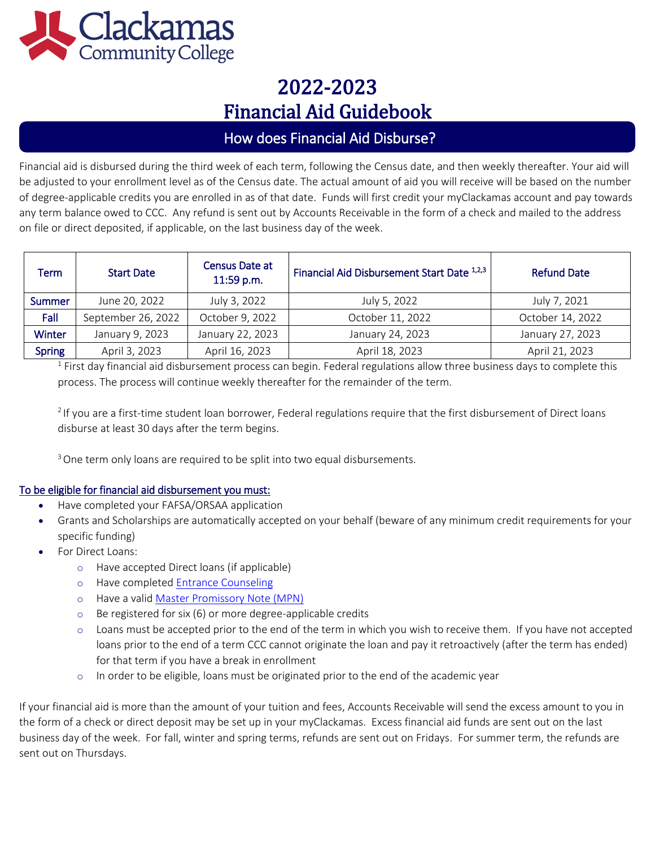

## How does Financial Aid Disburse?

Financial aid is disbursed during the third week of each term, following the Census date, and then weekly thereafter. Your aid will be adjusted to your enrollment level as of the Census date. The actual amount of aid you will receive will be based on the number of degree-applicable credits you are enrolled in as of that date. Funds will first credit your myClackamas account and pay towards any term balance owed to CCC. Any refund is sent out by Accounts Receivable in the form of a check and mailed to the address on file or direct deposited, if applicable, on the last business day of the week.

| Term          | <b>Start Date</b>  | Census Date at<br>11:59 p.m. | Financial Aid Disbursement Start Date 1,2,3 | <b>Refund Date</b> |
|---------------|--------------------|------------------------------|---------------------------------------------|--------------------|
| <b>Summer</b> | June 20, 2022      | July 3, 2022                 | July 5, 2022                                | July 7, 2021       |
| Fall          | September 26, 2022 | October 9, 2022              | October 11, 2022                            | October 14, 2022   |
| <b>Winter</b> | January 9, 2023    | January 22, 2023             | January 24, 2023                            | January 27, 2023   |
| <b>Spring</b> | April 3, 2023      | April 16, 2023               | April 18, 2023                              | April 21, 2023     |

 $1$  First day financial aid disbursement process can begin. Federal regulations allow three business days to complete this process. The process will continue weekly thereafter for the remainder of the term.

 $21$ f you are a first-time student loan borrower, Federal regulations require that the first disbursement of Direct loans disburse at least 30 days after the term begins.

<sup>3</sup> One term only loans are required to be split into two equal disbursements.

### To be eligible for financial aid disbursement you must:

- Have completed your FAFSA/ORSAA application
- Grants and Scholarships are automatically accepted on your behalf (beware of any minimum credit requirements for your specific funding)
- For Direct Loans:
	- o Have accepted Direct loans (if applicable)
	- o Have completed [Entrance Counseling](https://studentaid.gov/entrance-counseling)
	- o Have a valid [Master Promissory Note \(MPN\)](https://studentaid.gov/help-center/answers/article/master-promissory-note)
	- o Be registered for six (6) or more degree-applicable credits
	- o Loans must be accepted prior to the end of the term in which you wish to receive them. If you have not accepted loans prior to the end of a term CCC cannot originate the loan and pay it retroactively (after the term has ended) for that term if you have a break in enrollment
	- $\circ$  In order to be eligible, loans must be originated prior to the end of the academic year

If your financial aid is more than the amount of your tuition and fees, Accounts Receivable will send the excess amount to you in the form of a check or direct deposit may be set up in your myClackamas. Excess financial aid funds are sent out on the last business day of the week. For fall, winter and spring terms, refunds are sent out on Fridays. For summer term, the refunds are sent out on Thursdays.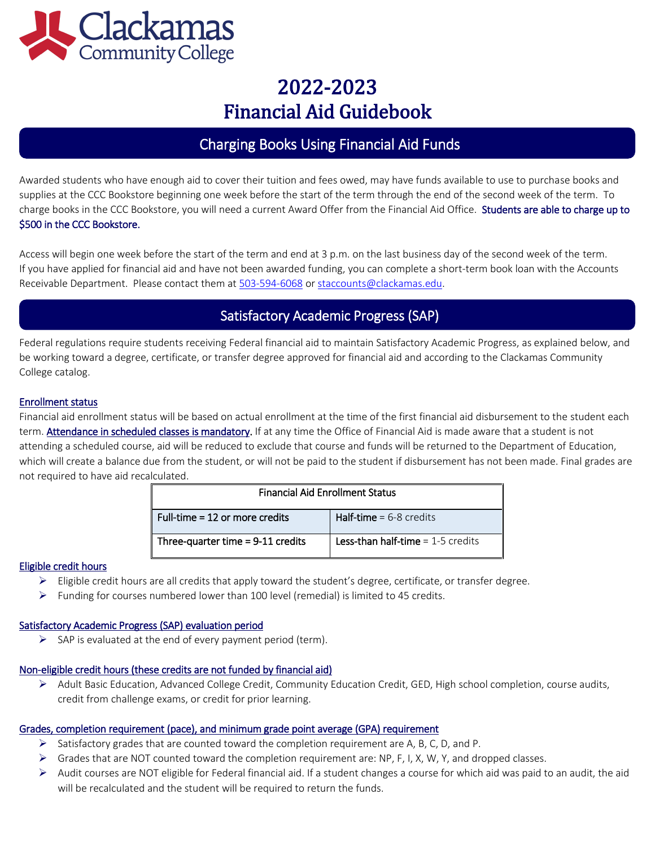

## Charging Books Using Financial Aid Funds

Awarded students who have enough aid to cover their tuition and fees owed, may have funds available to use to purchase books and supplies at the CCC Bookstore beginning one week before the start of the term through the end of the second week of the term. To charge books in the CCC Bookstore, you will need a current Award Offer from the Financial Aid Office. Students are able to charge up to \$500 in the CCC Bookstore.

Access will begin one week before the start of the term and end at 3 p.m. on the last business day of the second week of the term. If you have applied for financial aid and have not been awarded funding, you can complete a short-term book loan with the Accounts Receivable Department. Please contact them a[t 503-594-6068](tel:+15035946068) or [staccounts@clackamas.edu.](mailto:staccounts@clackamas.edu)

## Satisfactory Academic Progress (SAP)

Federal regulations require students receiving Federal financial aid to maintain Satisfactory Academic Progress, as explained below, and be working toward a degree, certificate, or transfer degree approved for financial aid and according to the Clackamas Community College catalog.

#### Enrollment status

Financial aid enrollment status will be based on actual enrollment at the time of the first financial aid disbursement to the student each term. Attendance in scheduled classes is mandatory. If at any time the Office of Financial Aid is made aware that a student is not attending a scheduled course, aid will be reduced to exclude that course and funds will be returned to the Department of Education, which will create a balance due from the student, or will not be paid to the student if disbursement has not been made. Final grades are not required to have aid recalculated.

| <b>Financial Aid Enrollment Status</b> |                                            |  |  |  |
|----------------------------------------|--------------------------------------------|--|--|--|
| Full-time = 12 or more credits         | <b>Half-time</b> = $6-8$ credits           |  |  |  |
| Three-quarter time $= 9-11$ credits    | <b>Less-than half-time</b> $= 1-5$ credits |  |  |  |

#### Eligible credit hours

- $\triangleright$  Eligible credit hours are all credits that apply toward the student's degree, certificate, or transfer degree.
- $\triangleright$  Funding for courses numbered lower than 100 level (remedial) is limited to 45 credits.

#### Satisfactory Academic Progress (SAP) evaluation period

 $\triangleright$  SAP is evaluated at the end of every payment period (term).

#### Non-eligible credit hours (these credits are not funded by financial aid)

➢ Adult Basic Education, Advanced College Credit, Community Education Credit, GED, High school completion, course audits, credit from challenge exams, or credit for prior learning.

#### Grades, completion requirement (pace), and minimum grade point average (GPA) requirement

- $\triangleright$  Satisfactory grades that are counted toward the completion requirement are A, B, C, D, and P.
- ➢ Grades that are NOT counted toward the completion requirement are: NP, F, I, X, W, Y, and dropped classes.
- $\triangleright$  Audit courses are NOT eligible for Federal financial aid. If a student changes a course for which aid was paid to an audit, the aid will be recalculated and the student will be required to return the funds.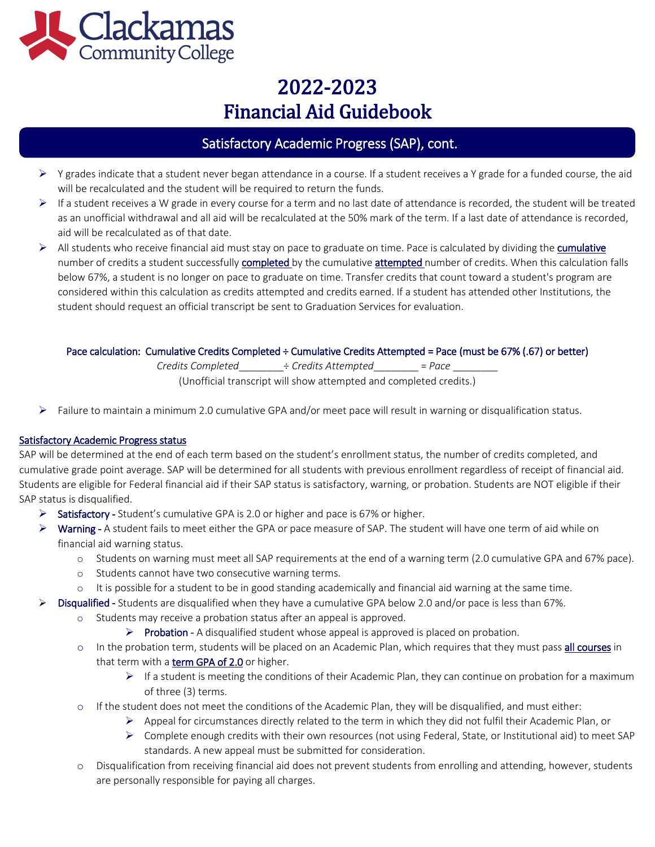

## Satisfactory Academic Progress (SAP), cont.

- ➢ Y grades indicate that a student never began attendance in a course. If a student receives a Y grade for a funded course, the aid will be recalculated and the student will be required to return the funds.
- $\triangleright$  If a student receives a W grade in every course for a term and no last date of attendance is recorded, the student will be treated as an unofficial withdrawal and all aid will be recalculated at the 50% mark of the term. If a last date of attendance is recorded, aid will be recalculated as of that date.
- ➢ All students who receive financial aid must stay on pace to graduate on time. Pace is calculated by dividing the cumulative number of credits a student successfully completed by the cumulative attempted number of credits. When this calculation falls below 67%, a student is no longer on pace to graduate on time. Transfer credits that count toward a student's program are considered within this calculation as credits attempted and credits earned. If a student has attended other Institutions, the student should request an official transcript be sent to Graduation Services for evaluation.

#### Pace calculation: Cumulative Credits Completed ÷ Cumulative Credits Attempted = Pace (must be 67% (.67) or better)

*Credits Completed*\_\_\_\_\_\_\_\_÷ *Credits Attempted*\_\_\_\_\_\_\_\_ = *Pace* \_\_\_\_\_\_\_\_

(Unofficial transcript will show attempted and completed credits.)

 $\triangleright$  Failure to maintain a minimum 2.0 cumulative GPA and/or meet pace will result in warning or disqualification status.

### Satisfactory Academic Progress status

SAP will be determined at the end of each term based on the student's enrollment status, the number of credits completed, and cumulative grade point average. SAP will be determined for all students with previous enrollment regardless of receipt of financial aid. Students are eligible for Federal financial aid if their SAP status is satisfactory, warning, or probation. Students are NOT eligible if their SAP status is disqualified.

- $\triangleright$  Satisfactory Student's cumulative GPA is 2.0 or higher and pace is 67% or higher.
- ➢ Warning A student fails to meet either the GPA or pace measure of SAP. The student will have one term of aid while on financial aid warning status.
	- o Students on warning must meet all SAP requirements at the end of a warning term (2.0 cumulative GPA and 67% pace).
	- o Students cannot have two consecutive warning terms.
	- o It is possible for a student to be in good standing academically and financial aid warning at the same time.
- $\triangleright$  Disqualified Students are disqualified when they have a cumulative GPA below 2.0 and/or pace is less than 67%.
	- Students may receive a probation status after an appeal is approved.
		- $\triangleright$  Probation A disqualified student whose appeal is approved is placed on probation.
	- o In the probation term, students will be placed on an Academic Plan, which requires that they must pass all courses in that term with a term GPA of 2.0 or higher.
		- $\triangleright$  If a student is meeting the conditions of their Academic Plan, they can continue on probation for a maximum of three (3) terms.
	- o If the student does not meet the conditions of the Academic Plan, they will be disqualified, and must either:
		- $\triangleright$  Appeal for circumstances directly related to the term in which they did not fulfil their Academic Plan, or
		- ➢ Complete enough credits with their own resources (not using Federal, State, or Institutional aid) to meet SAP standards. A new appeal must be submitted for consideration.
	- o Disqualification from receiving financial aid does not prevent students from enrolling and attending, however, students are personally responsible for paying all charges.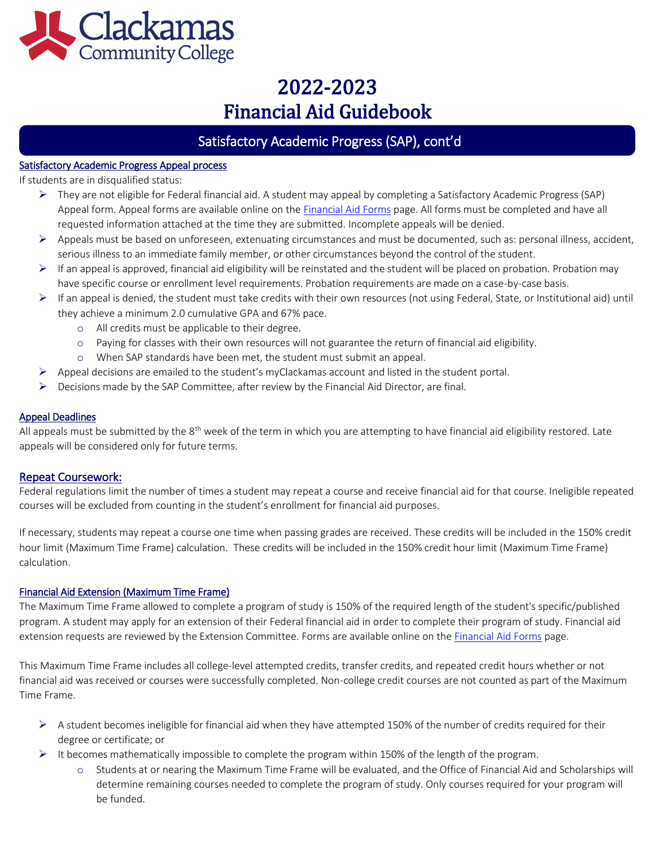

## Satisfactory Academic Progress (SAP), cont'd

#### Satisfactory Academic Progress Appeal process

If students are in disqualified status:

 $\overline{\phantom{a}}$ 

- ➢ They are not eligible for Federal financial aid. A student may appeal by completing a Satisfactory Academic Progress (SAP) Appeal form. Appeal forms are available online on the **Financial Aid Forms** page. All forms must be completed and have all requested information attached at the time they are submitted. Incomplete appeals will be denied.
- ➢ Appeals must be based on unforeseen, extenuating circumstances and must be documented, such as: personal illness, accident, serious illness to an immediate family member, or other circumstances beyond the control of the student.
- $\triangleright$  If an appeal is approved, financial aid eligibility will be reinstated and the student will be placed on probation. Probation may have specific course or enrollment level requirements. Probation requirements are made on a case-by-case basis.
- $\triangleright$  If an appeal is denied, the student must take credits with their own resources (not using Federal, State, or Institutional aid) until they achieve a minimum 2.0 cumulative GPA and 67% pace.
	- o All credits must be applicable to their degree.
	- o Paying for classes with their own resources will not guarantee the return of financial aid eligibility.
	- o When SAP standards have been met, the student must submit an appeal.
- $\triangleright$  Appeal decisions are emailed to the student's myClackamas account and listed in the student portal.
- $\triangleright$  Decisions made by the SAP Committee, after review by the Financial Aid Director, are final.

#### Appeal Deadlines

All appeals must be submitted by the  $8<sup>th</sup>$  week of the term in which you are attempting to have financial aid eligibility restored. Late appeals will be considered only for future terms.

#### Repeat Coursework:

Federal regulations limit the number of times a student may repeat a course and receive financial aid for that course. Ineligible repeated courses will be excluded from counting in the student's enrollment for financial aid purposes.

If necessary, students may repeat a course one time when passing grades are received. These credits will be included in the 150% credit hour limit (Maximum Time Frame) calculation. These credits will be included in the 150% credit hour limit (Maximum Time Frame) calculation.

#### Financial Aid Extension (Maximum Time Frame)

The Maximum Time Frame allowed to complete a program of study is 150% of the required length of the student's specific/published program. A student may apply for an extension of their Federal financial aid in order to complete their program of study. Financial aid extension requests are reviewed by the Extension Committee. Forms are available online on th[e Financial Aid Forms](http://www.clackamas.edu/admissions-financial-aid/financial-aid-scholarships/financial-aid-forms) page.

This Maximum Time Frame includes all college-level attempted credits, transfer credits, and repeated credit hours whether or not financial aid was received or courses were successfully completed. Non-college credit courses are not counted as part of the Maximum Time Frame.

- $\triangleright$  A student becomes ineligible for financial aid when they have attempted 150% of the number of credits required for their degree or certificate; or
- $\triangleright$  It becomes mathematically impossible to complete the program within 150% of the length of the program.
	- o Students at or nearing the Maximum Time Frame will be evaluated, and the Office of Financial Aid and Scholarships will determine remaining courses needed to complete the program of study. Only courses required for your program will be funded.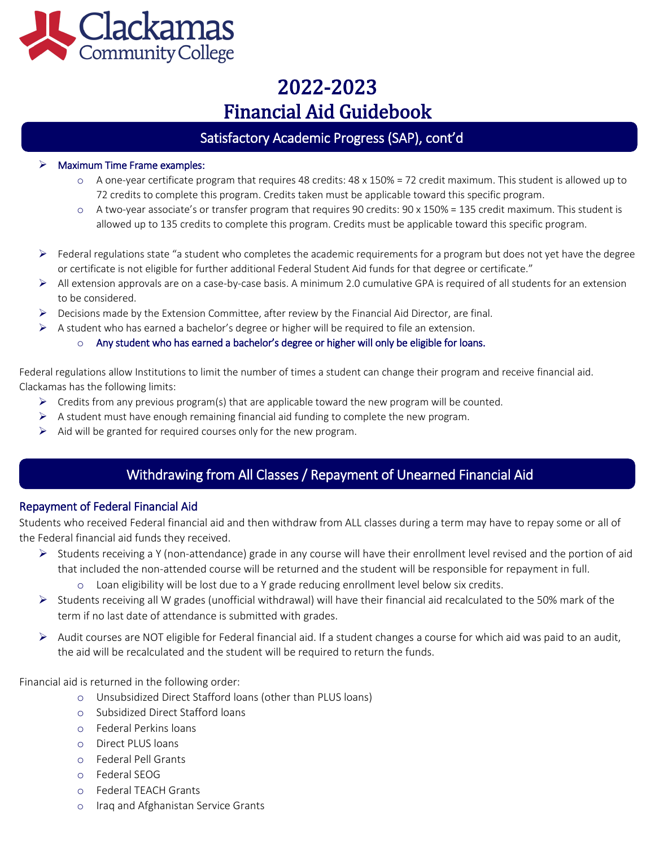

## Satisfactory Academic Progress (SAP), cont'd

#### $\triangleright$  Maximum Time Frame examples:

l

- $\circ$  A one-year certificate program that requires 48 credits: 48 x 150% = 72 credit maximum. This student is allowed up to 72 credits to complete this program. Credits taken must be applicable toward this specific program.
- o A two-year associate's or transfer program that requires 90 credits: 90 x 150% = 135 credit maximum. This student is allowed up to 135 credits to complete this program. Credits must be applicable toward this specific program.
- $\triangleright$  Federal regulations state "a student who completes the academic requirements for a program but does not yet have the degree or certificate is not eligible for further additional Federal Student Aid funds for that degree or certificate."
- ➢ All extension approvals are on a case-by-case basis. A minimum 2.0 cumulative GPA is required of all students for an extension to be considered.
- $\triangleright$  Decisions made by the Extension Committee, after review by the Financial Aid Director, are final.
- $\triangleright$  A student who has earned a bachelor's degree or higher will be required to file an extension.
	- $\circ$  Any student who has earned a bachelor's degree or higher will only be eligible for loans.

Federal regulations allow Institutions to limit the number of times a student can change their program and receive financial aid. Clackamas has the following limits:

- $\triangleright$  Credits from any previous program(s) that are applicable toward the new program will be counted.
- $\triangleright$  A student must have enough remaining financial aid funding to complete the new program.
- $\triangleright$  Aid will be granted for required courses only for the new program.

## Withdrawing from All Classes / Repayment of Unearned Financial Aid

### Repayment of Federal Financial Aid

í

ľ

Students who received Federal financial aid and then withdraw from ALL classes during a term may have to repay some or all of the Federal financial aid funds they received.

- $\triangleright$  Students receiving a Y (non-attendance) grade in any course will have their enrollment level revised and the portion of aid that included the non-attended course will be returned and the student will be responsible for repayment in full.
	- o Loan eligibility will be lost due to a Y grade reducing enrollment level below six credits.
- $\triangleright$  Students receiving all W grades (unofficial withdrawal) will have their financial aid recalculated to the 50% mark of the term if no last date of attendance is submitted with grades.
- ➢ Audit courses are NOT eligible for Federal financial aid. If a student changes a course for which aid was paid to an audit, the aid will be recalculated and the student will be required to return the funds.

Financial aid is returned in the following order:

- o Unsubsidized Direct Stafford loans (other than PLUS loans)
- o Subsidized Direct Stafford loans
- o Federal Perkins loans
- o Direct PLUS loans
- o Federal Pell Grants
- o Federal SEOG
- o Federal TEACH Grants
- o Iraq and Afghanistan Service Grants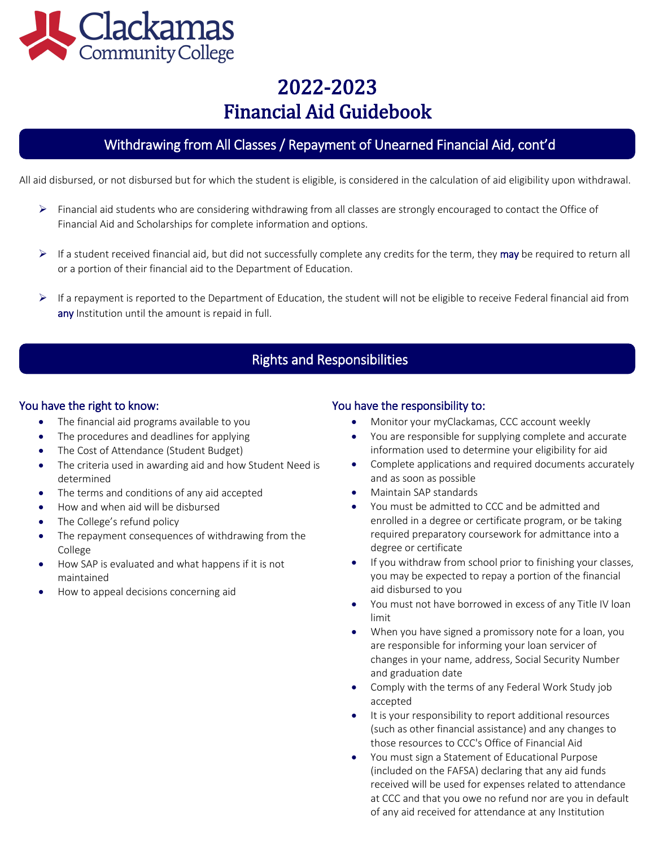

## Withdrawing from All Classes / Repayment of Unearned Financial Aid, cont'd

All aid disbursed, or not disbursed but for which the student is eligible, is considered in the calculation of aid eligibility upon withdrawal.

- $\triangleright$  Financial aid students who are considering withdrawing from all classes are strongly encouraged to contact the Office of Financial Aid and Scholarships for complete information and options.
- $\triangleright$  If a student received financial aid, but did not successfully complete any credits for the term, they may be required to return all or a portion of their financial aid to the Department of Education.
- $\triangleright$  If a repayment is reported to the Department of Education, the student will not be eligible to receive Federal financial aid from any Institution until the amount is repaid in full.

## Rights and Responsibilities

### You have the right to know:

 $\overline{\phantom{0}}$ 

- The financial aid programs available to you
- The procedures and deadlines for applying
- The Cost of Attendance (Student Budget)
- The criteria used in awarding aid and how Student Need is determined
- The terms and conditions of any aid accepted
- How and when aid will be disbursed
- The College's refund policy
- The repayment consequences of withdrawing from the College
- How SAP is evaluated and what happens if it is not maintained
- How to appeal decisions concerning aid

### You have the responsibility to:

- Monitor your myClackamas, CCC account weekly
- You are responsible for supplying complete and accurate information used to determine your eligibility for aid
- Complete applications and required documents accurately and as soon as possible
- Maintain SAP standards
- You must be admitted to CCC and be admitted and enrolled in a degree or certificate program, or be taking required preparatory coursework for admittance into a degree or certificate
- If you withdraw from school prior to finishing your classes, you may be expected to repay a portion of the financial aid disbursed to you
- You must not have borrowed in excess of any Title IV loan limit
- When you have signed a promissory note for a loan, you are responsible for informing your loan servicer of changes in your name, address, Social Security Number and graduation date
- Comply with the terms of any Federal Work Study job accepted
- It is your responsibility to report additional resources (such as other financial assistance) and any changes to those resources to CCC's Office of Financial Aid
- You must sign a Statement of Educational Purpose (included on the FAFSA) declaring that any aid funds received will be used for expenses related to attendance at CCC and that you owe no refund nor are you in default of any aid received for attendance at any Institution